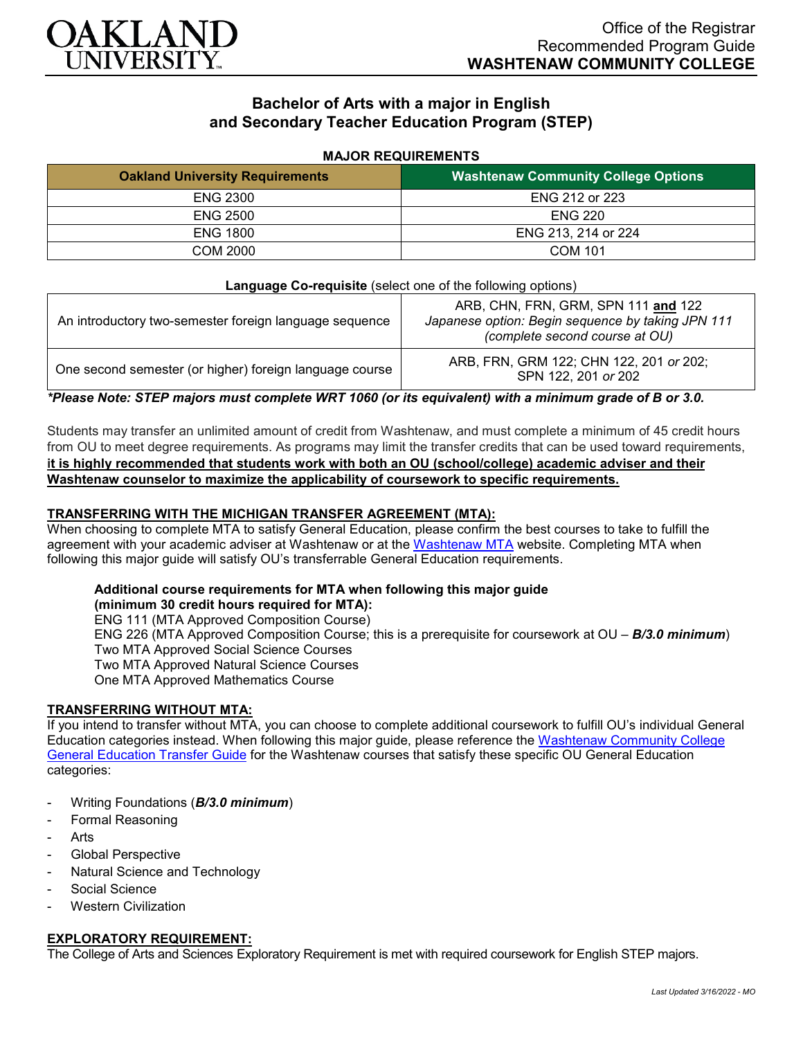

# **Bachelor of Arts with a major in English and Secondary Teacher Education Program (STEP)**

#### **MAJOR REQUIREMENTS**

| <b>Oakland University Requirements</b> | <b>Washtenaw Community College Options</b> |
|----------------------------------------|--------------------------------------------|
| <b>ENG 2300</b>                        | ENG 212 or 223                             |
| <b>ENG 2500</b>                        | <b>ENG 220</b>                             |
| <b>ENG 1800</b>                        | ENG 213, 214 or 224                        |
| COM 2000                               | <b>COM 101</b>                             |

| <b>Language Co-requisite</b> (select one of the following options) |                                                                                                                            |
|--------------------------------------------------------------------|----------------------------------------------------------------------------------------------------------------------------|
| An introductory two-semester foreign language sequence             | ARB, CHN, FRN, GRM, SPN 111 and 122<br>Japanese option: Begin sequence by taking JPN 111<br>(complete second course at OU) |
| One second semester (or higher) foreign language course            | ARB, FRN, GRM 122; CHN 122, 201 or 202;<br>SPN 122, 201 or 202                                                             |

*\*Please Note: STEP majors must complete WRT 1060 (or its equivalent) with a minimum grade of B or 3.0.*

Students may transfer an unlimited amount of credit from Washtenaw, and must complete a minimum of 45 credit hours from OU to meet degree requirements. As programs may limit the transfer credits that can be used toward requirements, **it is highly recommended that students work with both an OU (school/college) academic adviser and their Washtenaw counselor to maximize the applicability of coursework to specific requirements.**

### **TRANSFERRING WITH THE MICHIGAN TRANSFER AGREEMENT (MTA):**

When choosing to complete MTA to satisfy General Education, please confirm the best courses to take to fulfill the agreement with your academic adviser at Washtenaw or at the [Washtenaw MTA](https://www.wccnet.edu/learn/transfer-wcc-credits/mta.php) website. Completing MTA when following this major guide will satisfy OU's transferrable General Education requirements.

## **Additional course requirements for MTA when following this major guide**

**(minimum 30 credit hours required for MTA):** ENG 111 (MTA Approved Composition Course) ENG 226 (MTA Approved Composition Course; this is a prerequisite for coursework at OU – *B/3.0 minimum*) Two MTA Approved Social Science Courses Two MTA Approved Natural Science Courses One MTA Approved Mathematics Course

### **TRANSFERRING WITHOUT MTA:**

If you intend to transfer without MTA, you can choose to complete additional coursework to fulfill OU's individual General Education categories instead. When following this major guide, please reference the [Washtenaw Community College](https://www.oakland.edu/Assets/Oakland/program-guides/washtenaw-community-college/university-general-education-requirements/Washtenaw%20Gen%20Ed.pdf)  [General Education Transfer Guide](https://www.oakland.edu/Assets/Oakland/program-guides/washtenaw-community-college/university-general-education-requirements/Washtenaw%20Gen%20Ed.pdf) for the Washtenaw courses that satisfy these specific OU General Education categories:

- Writing Foundations (*B/3.0 minimum*)
- Formal Reasoning
- **Arts**
- Global Perspective
- Natural Science and Technology
- Social Science
- **Western Civilization**

### **EXPLORATORY REQUIREMENT:**

The College of Arts and Sciences Exploratory Requirement is met with required coursework for English STEP majors.